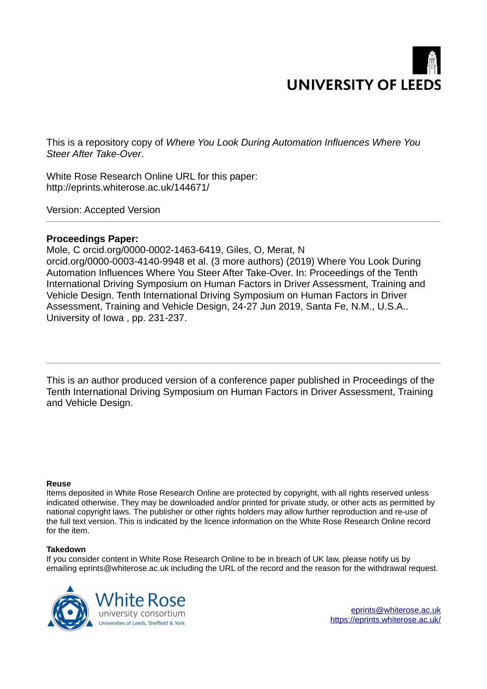

This is a repository copy of *Where You Look During Automation Influences Where You Steer After Take-Over*.

White Rose Research Online URL for this paper: http://eprints.whiterose.ac.uk/144671/

Version: Accepted Version

### **Proceedings Paper:**

Mole, C orcid.org/0000-0002-1463-6419, Giles, O, Merat, N orcid.org/0000-0003-4140-9948 et al. (3 more authors) (2019) Where You Look During Automation Influences Where You Steer After Take-Over. In: Proceedings of the Tenth International Driving Symposium on Human Factors in Driver Assessment, Training and Vehicle Design. Tenth International Driving Symposium on Human Factors in Driver Assessment, Training and Vehicle Design, 24-27 Jun 2019, Santa Fe, N.M., U.S.A.. University of Iowa , pp. 231-237.

This is an author produced version of a conference paper published in Proceedings of the Tenth International Driving Symposium on Human Factors in Driver Assessment, Training and Vehicle Design.

#### **Reuse**

Items deposited in White Rose Research Online are protected by copyright, with all rights reserved unless indicated otherwise. They may be downloaded and/or printed for private study, or other acts as permitted by national copyright laws. The publisher or other rights holders may allow further reproduction and re-use of the full text version. This is indicated by the licence information on the White Rose Research Online record for the item.

#### **Takedown**

If you consider content in White Rose Research Online to be in breach of UK law, please notify us by emailing eprints@whiterose.ac.uk including the URL of the record and the reason for the withdrawal request.

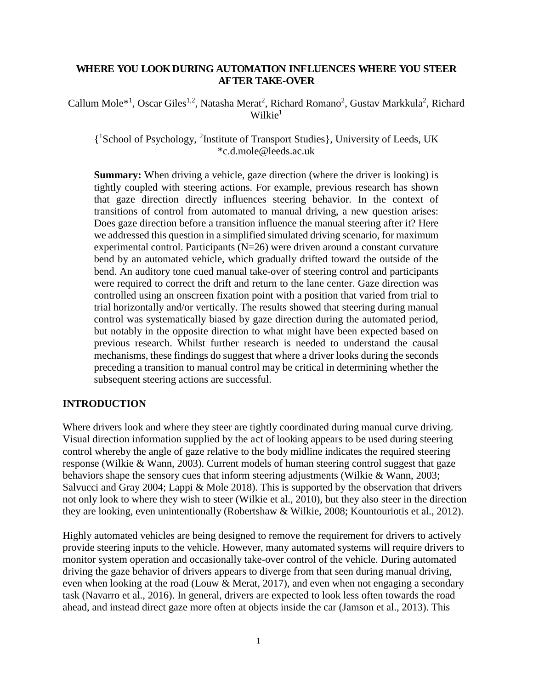### **WHERE YOU LOOK DURING AUTOMATION INFLUENCES WHERE YOU STEER AFTER TAKE-OVER**

Callum Mole<sup>\*1</sup>, Oscar Giles<sup>1,2</sup>, Natasha Merat<sup>2</sup>, Richard Romano<sup>2</sup>, Gustav Markkula<sup>2</sup>, Richard  $Wilkie<sup>1</sup>$ 

{ <sup>1</sup>School of Psychology, <sup>2</sup> Institute of Transport Studies}, University of Leeds, UK \*c.d.mole@leeds.ac.uk

**Summary:** When driving a vehicle, gaze direction (where the driver is looking) is tightly coupled with steering actions. For example, previous research has shown that gaze direction directly influences steering behavior. In the context of transitions of control from automated to manual driving, a new question arises: Does gaze direction before a transition influence the manual steering after it? Here we addressed this question in a simplified simulated driving scenario, for maximum experimental control. Participants (N=26) were driven around a constant curvature bend by an automated vehicle, which gradually drifted toward the outside of the bend. An auditory tone cued manual take-over of steering control and participants were required to correct the drift and return to the lane center. Gaze direction was controlled using an onscreen fixation point with a position that varied from trial to trial horizontally and/or vertically. The results showed that steering during manual control was systematically biased by gaze direction during the automated period, but notably in the opposite direction to what might have been expected based on previous research. Whilst further research is needed to understand the causal mechanisms, these findings do suggest that where a driver looks during the seconds preceding a transition to manual control may be critical in determining whether the subsequent steering actions are successful.

### **INTRODUCTION**

Where drivers look and where they steer are tightly coordinated during manual curve driving. Visual direction information supplied by the act of looking appears to be used during steering control whereby the angle of gaze relative to the body midline indicates the required steering response (Wilkie & Wann, 2003). Current models of human steering control suggest that gaze behaviors shape the sensory cues that inform steering adjustments (Wilkie & Wann, 2003; Salvucci and Gray 2004; Lappi & Mole 2018). This is supported by the observation that drivers not only look to where they wish to steer (Wilkie et al., 2010), but they also steer in the direction they are looking, even unintentionally (Robertshaw & Wilkie, 2008; Kountouriotis et al., 2012).

Highly automated vehicles are being designed to remove the requirement for drivers to actively provide steering inputs to the vehicle. However, many automated systems will require drivers to monitor system operation and occasionally take-over control of the vehicle. During automated driving the gaze behavior of drivers appears to diverge from that seen during manual driving, even when looking at the road (Louw & Merat, 2017), and even when not engaging a secondary task (Navarro et al., 2016). In general, drivers are expected to look less often towards the road ahead, and instead direct gaze more often at objects inside the car (Jamson et al., 2013). This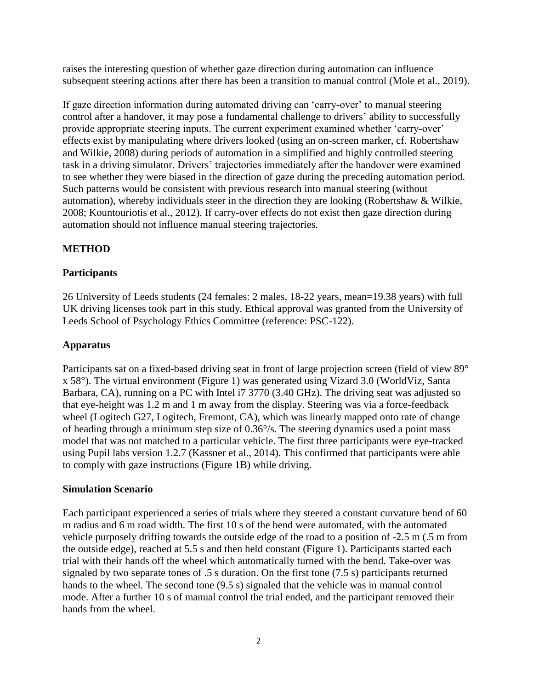raises the interesting question of whether gaze direction during automation can influence subsequent steering actions after there has been a transition to manual control (Mole et al., 2019).

If gaze direction information during automated driving can 'carry-over' to manual steering control after a handover, it may pose a fundamental challenge to drivers' ability to successfully provide appropriate steering inputs. The current experiment examined whether 'carry-over' effects exist by manipulating where drivers looked (using an on-screen marker, cf. Robertshaw and Wilkie, 2008) during periods of automation in a simplified and highly controlled steering task in a driving simulator. Drivers' trajectories immediately after the handover were examined to see whether they were biased in the direction of gaze during the preceding automation period. Such patterns would be consistent with previous research into manual steering (without automation), whereby individuals steer in the direction they are looking (Robertshaw & Wilkie, 2008; Kountouriotis et al., 2012). If carry-over effects do not exist then gaze direction during automation should not influence manual steering trajectories.

# **METHOD**

# **Participants**

26 University of Leeds students (24 females: 2 males, 18-22 years, mean=19.38 years) with full UK driving licenses took part in this study. Ethical approval was granted from the University of Leeds School of Psychology Ethics Committee (reference: PSC-122).

## **Apparatus**

Participants sat on a fixed-based driving seat in front of large projection screen (field of view 89° x 58°). The virtual environment (Figure 1) was generated using Vizard 3.0 (WorldViz, Santa Barbara, CA), running on a PC with Intel i7 3770 (3.40 GHz). The driving seat was adjusted so that eye-height was 1.2 m and 1 m away from the display. Steering was via a force-feedback wheel (Logitech G27, Logitech, Fremont, CA), which was linearly mapped onto rate of change of heading through a minimum step size of 0.36°/s. The steering dynamics used a point mass model that was not matched to a particular vehicle. The first three participants were eye-tracked using Pupil labs version 1.2.7 (Kassner et al., 2014). This confirmed that participants were able to comply with gaze instructions (Figure 1B) while driving.

### **Simulation Scenario**

Each participant experienced a series of trials where they steered a constant curvature bend of 60 m radius and 6 m road width. The first 10 s of the bend were automated, with the automated vehicle purposely drifting towards the outside edge of the road to a position of -2.5 m (.5 m from the outside edge), reached at 5.5 s and then held constant (Figure 1). Participants started each trial with their hands off the wheel which automatically turned with the bend. Take-over was signaled by two separate tones of .5 s duration. On the first tone (7.5 s) participants returned hands to the wheel. The second tone (9.5 s) signaled that the vehicle was in manual control mode. After a further 10 s of manual control the trial ended, and the participant removed their hands from the wheel.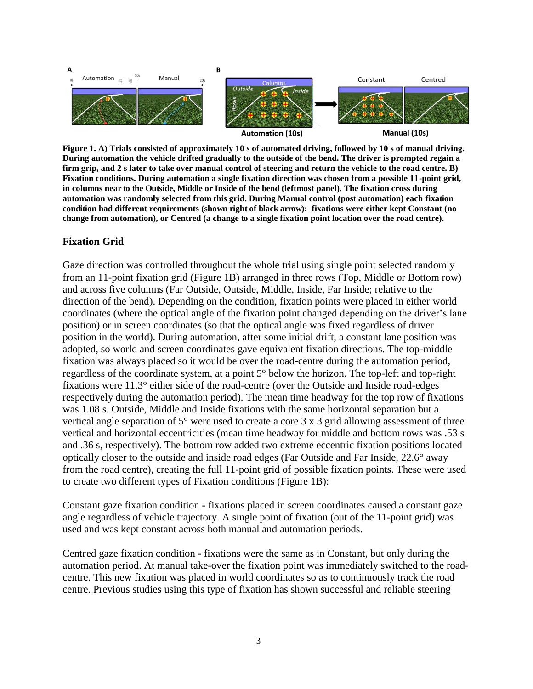

**Figure 1. A) Trials consisted of approximately 10 s of automated driving, followed by 10 s of manual driving. During automation the vehicle drifted gradually to the outside of the bend. The driver is prompted regain a firm grip, and 2 s later to take over manual control of steering and return the vehicle to the road centre. B) Fixation conditions. During automation a single fixation direction was chosen from a possible 11-point grid, in columns near to the Outside, Middle or Inside of the bend (leftmost panel). The fixation cross during automation was randomly selected from this grid. During Manual control (post automation) each fixation condition had different requirements (shown right of black arrow): fixations were either kept Constant (no change from automation), or Centred (a change to a single fixation point location over the road centre).** 

### **Fixation Grid**

Gaze direction was controlled throughout the whole trial using single point selected randomly from an 11-point fixation grid (Figure 1B) arranged in three rows (Top, Middle or Bottom row) and across five columns (Far Outside, Outside, Middle, Inside, Far Inside; relative to the direction of the bend). Depending on the condition, fixation points were placed in either world coordinates (where the optical angle of the fixation point changed depending on the driver's lane position) or in screen coordinates (so that the optical angle was fixed regardless of driver position in the world). During automation, after some initial drift, a constant lane position was adopted, so world and screen coordinates gave equivalent fixation directions. The top-middle fixation was always placed so it would be over the road-centre during the automation period, regardless of the coordinate system, at a point 5° below the horizon. The top-left and top-right fixations were 11.3° either side of the road-centre (over the Outside and Inside road-edges respectively during the automation period). The mean time headway for the top row of fixations was 1.08 s. Outside, Middle and Inside fixations with the same horizontal separation but a vertical angle separation of 5° were used to create a core 3 x 3 grid allowing assessment of three vertical and horizontal eccentricities (mean time headway for middle and bottom rows was .53 s and .36 s, respectively). The bottom row added two extreme eccentric fixation positions located optically closer to the outside and inside road edges (Far Outside and Far Inside, 22.6° away from the road centre), creating the full 11-point grid of possible fixation points. These were used to create two different types of Fixation conditions (Figure 1B):

Constant gaze fixation condition **-** fixations placed in screen coordinates caused a constant gaze angle regardless of vehicle trajectory. A single point of fixation (out of the 11-point grid) was used and was kept constant across both manual and automation periods.

Centred gaze fixation condition **-** fixations were the same as in Constant, but only during the automation period. At manual take-over the fixation point was immediately switched to the roadcentre. This new fixation was placed in world coordinates so as to continuously track the road centre. Previous studies using this type of fixation has shown successful and reliable steering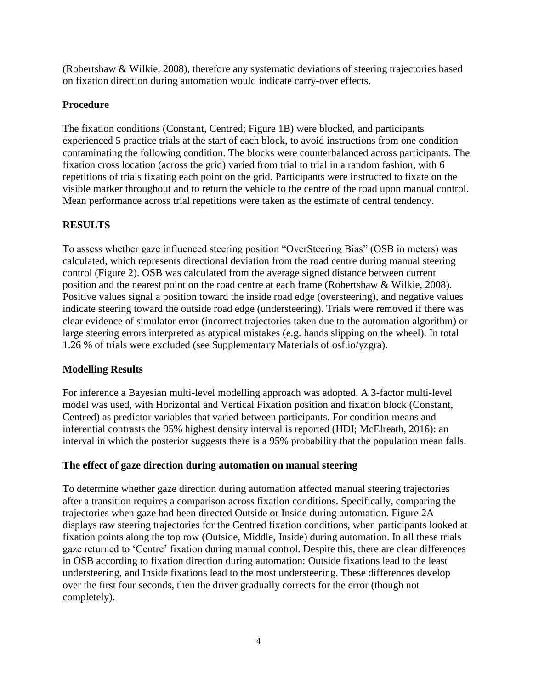(Robertshaw & Wilkie, 2008), therefore any systematic deviations of steering trajectories based on fixation direction during automation would indicate carry-over effects.

# **Procedure**

The fixation conditions (Constant, Centred; Figure 1B) were blocked, and participants experienced 5 practice trials at the start of each block, to avoid instructions from one condition contaminating the following condition. The blocks were counterbalanced across participants. The fixation cross location (across the grid) varied from trial to trial in a random fashion, with 6 repetitions of trials fixating each point on the grid. Participants were instructed to fixate on the visible marker throughout and to return the vehicle to the centre of the road upon manual control. Mean performance across trial repetitions were taken as the estimate of central tendency.

# **RESULTS**

To assess whether gaze influenced steering position "OverSteering Bias" (OSB in meters) was calculated, which represents directional deviation from the road centre during manual steering control (Figure 2). OSB was calculated from the average signed distance between current position and the nearest point on the road centre at each frame (Robertshaw & Wilkie, 2008). Positive values signal a position toward the inside road edge (oversteering), and negative values indicate steering toward the outside road edge (understeering). Trials were removed if there was clear evidence of simulator error (incorrect trajectories taken due to the automation algorithm) or large steering errors interpreted as atypical mistakes (e.g. hands slipping on the wheel). In total 1.26 % of trials were excluded (see Supplementary Materials of osf.io/yzgra).

# **Modelling Results**

For inference a Bayesian multi-level modelling approach was adopted. A 3-factor multi-level model was used, with Horizontal and Vertical Fixation position and fixation block (Constant, Centred) as predictor variables that varied between participants. For condition means and inferential contrasts the 95% highest density interval is reported (HDI; McElreath, 2016): an interval in which the posterior suggests there is a 95% probability that the population mean falls.

# **The effect of gaze direction during automation on manual steering**

To determine whether gaze direction during automation affected manual steering trajectories after a transition requires a comparison across fixation conditions. Specifically, comparing the trajectories when gaze had been directed Outside or Inside during automation. Figure 2A displays raw steering trajectories for the Centred fixation conditions, when participants looked at fixation points along the top row (Outside, Middle, Inside) during automation. In all these trials gaze returned to 'Centre' fixation during manual control. Despite this, there are clear differences in OSB according to fixation direction during automation: Outside fixations lead to the least understeering, and Inside fixations lead to the most understeering. These differences develop over the first four seconds, then the driver gradually corrects for the error (though not completely).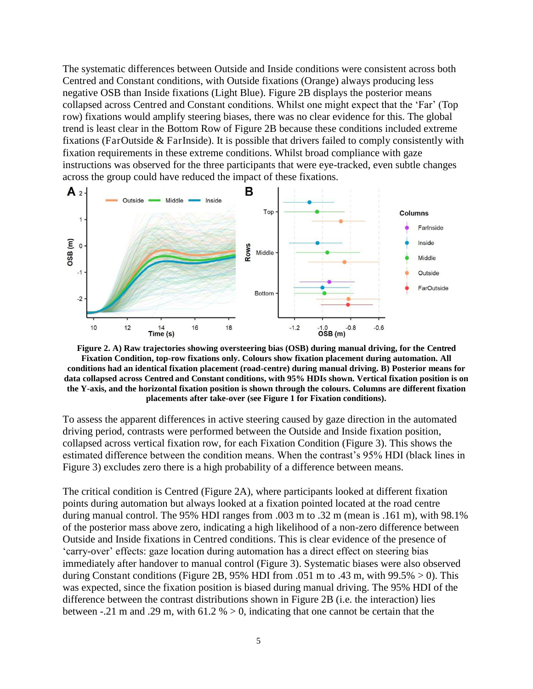The systematic differences between Outside and Inside conditions were consistent across both Centred and Constant conditions, with Outside fixations (Orange) always producing less negative OSB than Inside fixations (Light Blue). Figure 2B displays the posterior means collapsed across Centred and Constant conditions. Whilst one might expect that the 'Far' (Top row) fixations would amplify steering biases, there was no clear evidence for this. The global trend is least clear in the Bottom Row of Figure 2B because these conditions included extreme fixations (FarOutside & FarInside). It is possible that drivers failed to comply consistently with fixation requirements in these extreme conditions. Whilst broad compliance with gaze instructions was observed for the three participants that were eye-tracked, even subtle changes across the group could have reduced the impact of these fixations.



**Figure 2. A) Raw trajectories showing oversteering bias (OSB) during manual driving, for the Centred Fixation Condition, top-row fixations only. Colours show fixation placement during automation. All conditions had an identical fixation placement (road-centre) during manual driving. B) Posterior means for data collapsed across Centred and Constant conditions, with 95% HDIs shown. Vertical fixation position is on the Y-axis, and the horizontal fixation position is shown through the colours. Columns are different fixation placements after take-over (see Figure 1 for Fixation conditions).** 

To assess the apparent differences in active steering caused by gaze direction in the automated driving period, contrasts were performed between the Outside and Inside fixation position, collapsed across vertical fixation row, for each Fixation Condition (Figure 3). This shows the estimated difference between the condition means. When the contrast's 95% HDI (black lines in Figure 3) excludes zero there is a high probability of a difference between means.

The critical condition is Centred (Figure 2A), where participants looked at different fixation points during automation but always looked at a fixation pointed located at the road centre during manual control. The 95% HDI ranges from .003 m to .32 m (mean is .161 m), with 98.1% of the posterior mass above zero, indicating a high likelihood of a non-zero difference between Outside and Inside fixations in Centred conditions. This is clear evidence of the presence of 'carry-over' effects: gaze location during automation has a direct effect on steering bias immediately after handover to manual control (Figure 3). Systematic biases were also observed during Constant conditions (Figure 2B, 95% HDI from .051 m to .43 m, with  $99.5\% > 0$ ). This was expected, since the fixation position is biased during manual driving. The 95% HDI of the difference between the contrast distributions shown in Figure 2B (i.e. the interaction) lies between -.21 m and .29 m, with  $61.2\% > 0$ , indicating that one cannot be certain that the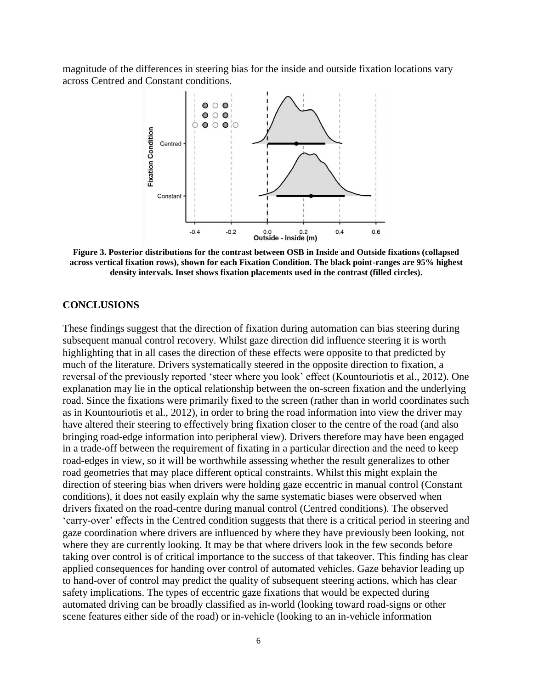magnitude of the differences in steering bias for the inside and outside fixation locations vary across Centred and Constant conditions.



**Figure 3. Posterior distributions for the contrast between OSB in Inside and Outside fixations (collapsed across vertical fixation rows), shown for each Fixation Condition. The black point-ranges are 95% highest density intervals. Inset shows fixation placements used in the contrast (filled circles).** 

#### **CONCLUSIONS**

These findings suggest that the direction of fixation during automation can bias steering during subsequent manual control recovery. Whilst gaze direction did influence steering it is worth highlighting that in all cases the direction of these effects were opposite to that predicted by much of the literature. Drivers systematically steered in the opposite direction to fixation, a reversal of the previously reported 'steer where you look' effect (Kountouriotis et al., 2012). One explanation may lie in the optical relationship between the on-screen fixation and the underlying road. Since the fixations were primarily fixed to the screen (rather than in world coordinates such as in Kountouriotis et al., 2012), in order to bring the road information into view the driver may have altered their steering to effectively bring fixation closer to the centre of the road (and also bringing road-edge information into peripheral view). Drivers therefore may have been engaged in a trade-off between the requirement of fixating in a particular direction and the need to keep road-edges in view, so it will be worthwhile assessing whether the result generalizes to other road geometries that may place different optical constraints. Whilst this might explain the direction of steering bias when drivers were holding gaze eccentric in manual control (Constant conditions), it does not easily explain why the same systematic biases were observed when drivers fixated on the road-centre during manual control (Centred conditions). The observed 'carry-over' effects in the Centred condition suggests that there is a critical period in steering and gaze coordination where drivers are influenced by where they have previously been looking, not where they are currently looking. It may be that where drivers look in the few seconds before taking over control is of critical importance to the success of that takeover. This finding has clear applied consequences for handing over control of automated vehicles. Gaze behavior leading up to hand-over of control may predict the quality of subsequent steering actions, which has clear safety implications. The types of eccentric gaze fixations that would be expected during automated driving can be broadly classified as in-world (looking toward road-signs or other scene features either side of the road) or in-vehicle (looking to an in-vehicle information